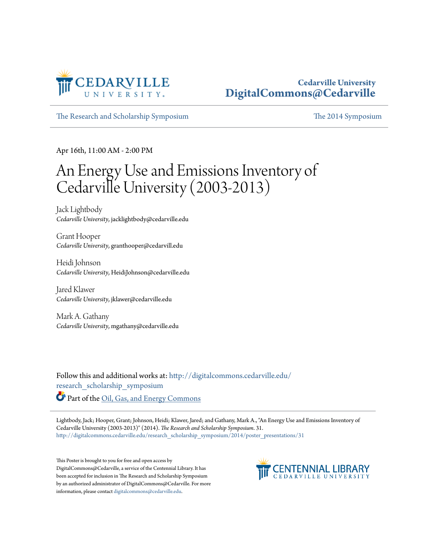

#### **Cedarville University [DigitalCommons@Cedarville](http://digitalcommons.cedarville.edu?utm_source=digitalcommons.cedarville.edu%2Fresearch_scholarship_symposium%2F2014%2Fposter_presentations%2F31&utm_medium=PDF&utm_campaign=PDFCoverPages)**

[The Research and Scholarship Symposium](http://digitalcommons.cedarville.edu/research_scholarship_symposium?utm_source=digitalcommons.cedarville.edu%2Fresearch_scholarship_symposium%2F2014%2Fposter_presentations%2F31&utm_medium=PDF&utm_campaign=PDFCoverPages) [The 2014 Symposium](http://digitalcommons.cedarville.edu/research_scholarship_symposium/2014?utm_source=digitalcommons.cedarville.edu%2Fresearch_scholarship_symposium%2F2014%2Fposter_presentations%2F31&utm_medium=PDF&utm_campaign=PDFCoverPages)

Apr 16th, 11:00 AM - 2:00 PM

#### An Energy Use and Emissions Inventory of Cedarville University (2003-2013)

Jack Lightbody *Cedarville University*, jacklightbody@cedarville.edu

Grant Hooper *Cedarville University*, granthooper@cedarvill.edu

Heidi Johnson *Cedarville University*, HeidiJohnson@cedarville.edu

Jared Klawer *Cedarville University*, jklawer@cedarville.edu

Mark A. Gathany *Cedarville University*, mgathany@cedarville.edu

Follow this and additional works at: [http://digitalcommons.cedarville.edu/](http://digitalcommons.cedarville.edu/research_scholarship_symposium?utm_source=digitalcommons.cedarville.edu%2Fresearch_scholarship_symposium%2F2014%2Fposter_presentations%2F31&utm_medium=PDF&utm_campaign=PDFCoverPages) [research\\_scholarship\\_symposium](http://digitalcommons.cedarville.edu/research_scholarship_symposium?utm_source=digitalcommons.cedarville.edu%2Fresearch_scholarship_symposium%2F2014%2Fposter_presentations%2F31&utm_medium=PDF&utm_campaign=PDFCoverPages) Part of the [Oil, Gas, and Energy Commons](http://network.bepress.com/hgg/discipline/171?utm_source=digitalcommons.cedarville.edu%2Fresearch_scholarship_symposium%2F2014%2Fposter_presentations%2F31&utm_medium=PDF&utm_campaign=PDFCoverPages)

Lightbody, Jack; Hooper, Grant; Johnson, Heidi; Klawer, Jared; and Gathany, Mark A., "An Energy Use and Emissions Inventory of Cedarville University (2003-2013)" (2014). *The Research and Scholarship Symposium*. 31. [http://digitalcommons.cedarville.edu/research\\_scholarship\\_symposium/2014/poster\\_presentations/31](http://digitalcommons.cedarville.edu/research_scholarship_symposium/2014/poster_presentations/31?utm_source=digitalcommons.cedarville.edu%2Fresearch_scholarship_symposium%2F2014%2Fposter_presentations%2F31&utm_medium=PDF&utm_campaign=PDFCoverPages)

This Poster is brought to you for free and open access by DigitalCommons@Cedarville, a service of the Centennial Library. It has been accepted for inclusion in The Research and Scholarship Symposium by an authorized administrator of DigitalCommons@Cedarville. For more information, please contact [digitalcommons@cedarville.edu.](mailto:digitalcommons@cedarville.edu)